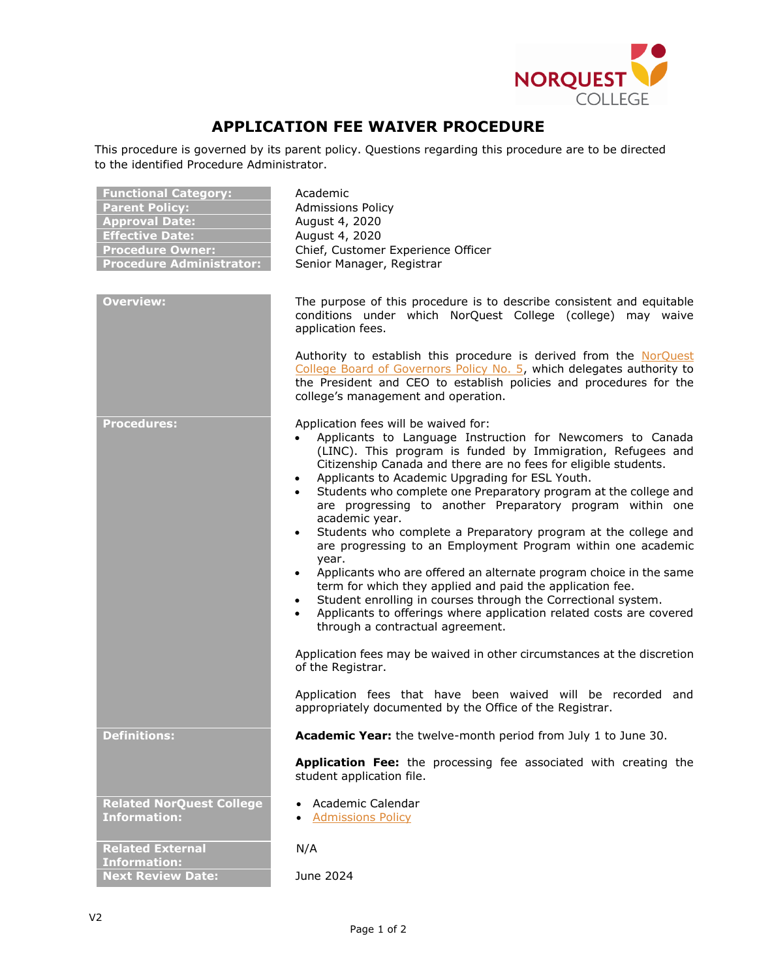

## **APPLICATION FEE WAIVER PROCEDURE**

This procedure is governed by its parent policy. Questions regarding this procedure are to be directed to the identified Procedure Administrator.

| <b>Functional Category:</b><br><b>Parent Policy:</b><br><b>Approval Date:</b><br><b>Effective Date:</b><br><b>Procedure Owner:</b><br><b>Procedure Administrator:</b><br><b>Overview:</b> | Academic<br><b>Admissions Policy</b><br>August 4, 2020<br>August 4, 2020<br>Chief, Customer Experience Officer<br>Senior Manager, Registrar<br>The purpose of this procedure is to describe consistent and equitable<br>conditions under which NorQuest College (college) may waive<br>application fees.<br>Authority to establish this procedure is derived from the NorQuest<br>College Board of Governors Policy No. 5, which delegates authority to<br>the President and CEO to establish policies and procedures for the                                                                                                                                                                                                                                                                                                                                                                                                                                                                                                                       |
|-------------------------------------------------------------------------------------------------------------------------------------------------------------------------------------------|-----------------------------------------------------------------------------------------------------------------------------------------------------------------------------------------------------------------------------------------------------------------------------------------------------------------------------------------------------------------------------------------------------------------------------------------------------------------------------------------------------------------------------------------------------------------------------------------------------------------------------------------------------------------------------------------------------------------------------------------------------------------------------------------------------------------------------------------------------------------------------------------------------------------------------------------------------------------------------------------------------------------------------------------------------|
| <b>Procedures:</b>                                                                                                                                                                        | college's management and operation.<br>Application fees will be waived for:<br>Applicants to Language Instruction for Newcomers to Canada                                                                                                                                                                                                                                                                                                                                                                                                                                                                                                                                                                                                                                                                                                                                                                                                                                                                                                           |
|                                                                                                                                                                                           | (LINC). This program is funded by Immigration, Refugees and<br>Citizenship Canada and there are no fees for eligible students.<br>Applicants to Academic Upgrading for ESL Youth.<br>$\bullet$<br>Students who complete one Preparatory program at the college and<br>are progressing to another Preparatory program within one<br>academic year.<br>Students who complete a Preparatory program at the college and<br>are progressing to an Employment Program within one academic<br>year.<br>Applicants who are offered an alternate program choice in the same<br>term for which they applied and paid the application fee.<br>Student enrolling in courses through the Correctional system.<br>$\bullet$<br>Applicants to offerings where application related costs are covered<br>through a contractual agreement.<br>Application fees may be waived in other circumstances at the discretion<br>of the Registrar.<br>Application fees that have been waived will be recorded and<br>appropriately documented by the Office of the Registrar. |
| <b>Definitions:</b>                                                                                                                                                                       | Academic Year: the twelve-month period from July 1 to June 30.                                                                                                                                                                                                                                                                                                                                                                                                                                                                                                                                                                                                                                                                                                                                                                                                                                                                                                                                                                                      |
|                                                                                                                                                                                           | Application Fee: the processing fee associated with creating the<br>student application file.                                                                                                                                                                                                                                                                                                                                                                                                                                                                                                                                                                                                                                                                                                                                                                                                                                                                                                                                                       |
| <b>Related NorQuest College</b><br><b>Information:</b>                                                                                                                                    | Academic Calendar<br><b>Admissions Policy</b>                                                                                                                                                                                                                                                                                                                                                                                                                                                                                                                                                                                                                                                                                                                                                                                                                                                                                                                                                                                                       |
| <b>Related External</b><br><b>Information:</b>                                                                                                                                            | N/A                                                                                                                                                                                                                                                                                                                                                                                                                                                                                                                                                                                                                                                                                                                                                                                                                                                                                                                                                                                                                                                 |
| <b>Next Review Date:</b>                                                                                                                                                                  | June 2024                                                                                                                                                                                                                                                                                                                                                                                                                                                                                                                                                                                                                                                                                                                                                                                                                                                                                                                                                                                                                                           |